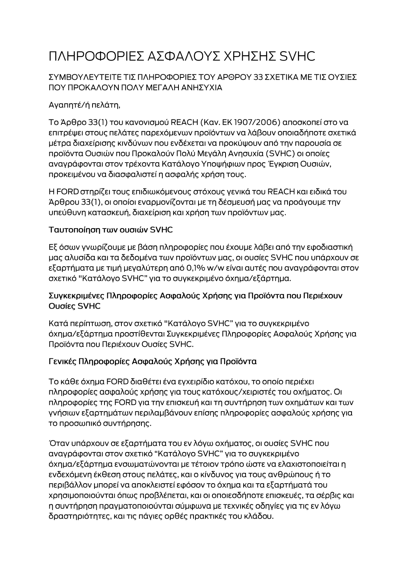# ΠΛΗΡΟΦΟΡΙΕΣ ΑΣΦΑΛΟΥΣ ΧΡΗΣΗΣ SVHC

### ΣΥΜΒΟΥΛΕΥΤΕΙΤΕ ΤΙΣ ΠΛΗΡΟΦΟΡΙΕΣ ΤΟΥ ΑΡΘΡΟΥ 33 ΣΧΕΤΙΚΑ ΜΕ ΤΙΣ ΟΥΣΙΕΣ ΠΟΥ ΠΡΟΚΑΛΟΥΝ ΠΟΛΥ ΜΕΓΑΛΗ ΑΝΗΣΥΧΙΑ

# Αγαπητέ/ή πελάτη,

Το Άρθρο 33(1) του κανονισμού REACH (Καν. ΕΚ 1907/2006) αποσκοπεί στο να επιτρέψει στους πελάτες παρεχόμενων προϊόντων να λάβουν οποιαδήποτε σχετικά μέτρα διαχείρισης κινδύνων που ενδέχεται να προκύψουν από την παρουσία σε προϊόντα Ουσιών που Προκαλούν Πολύ Μεγάλη Ανησυχία (SVHC) οι οποίες αναγράφονται στον τρέχοντα Κατάλογο Υποψήφιων προς Έγκριση Ουσιών, προκειμένου να διασφαλιστεί η ασφαλής χρήση τους.

Η FORD στηρίζει τους επιδιωκόμενους στόχους γενικά του REACH και ειδικά του Άρθρου 33(1), οι οποίοι εναρμονίζονται με τη δέσμευσή μας να προάγουμε την υπεύθυνη κατασκευή, διαχείριση και χρήση των προϊόντων μας.

#### Ταυτοποίηση των ουσιών SVHC

Εξ όσων γνωρίζουμε με βάση πληροφορίες που έχουμε λάβει από την εφοδιαστική μας αλυσίδα και τα δεδομένα των προϊόντων μας, οι ουσίες SVHC που υπάρχουν σε εξαρτήματα με τιμή μεγαλύτερη από 0,1% w/w είναι αυτές που αναγράφονται στον σχετικό "Κατάλογο SVHC" για το συγκεκριμένο όχημα/εξάρτημα.

#### Συγκεκριμένες Πληροφορίες Ασφαλούς Χρήσης για Προϊόντα που Περιέχουν Ουσίες SVHC

Κατά περίπτωση, στον σχετικό "Κατάλογο SVHC" για το συγκεκριμένο όχημα/εξάρτημα προστίθενται Συγκεκριμένες Πληροφορίες Ασφαλούς Χρήσης για Προϊόντα που Περιέχουν Ουσίες SVHC.

## Γενικές Πληροφορίες Ασφαλούς Χρήσης για Προϊόντα

Το κάθε όχημα FORD διαθέτει ένα εγχειρίδιο κατόχου, το οποίο περιέχει πληροφορίες ασφαλούς χρήσης για τους κατόχους/χειριστές του οχήματος. Οι πληροφορίες της FORD για την επισκευή και τη συντήρηση των οχημάτων και των γνήσιων εξαρτημάτων περιλαμβάνουν επίσης πληροφορίες ασφαλούς χρήσης για το προσωπικό συντήρησης.

Όταν υπάρχουν σε εξαρτήματα του εν λόγω οχήματος, οι ουσίες SVHC που αναγράφονται στον σχετικό "Κατάλογο SVHC" για το συγκεκριμένο όχημα/εξάρτημα ενσωματώνονται με τέτοιον τρόπο ώστε να ελαχιστοποιείται η ενδεχόμενη έκθεση στους πελάτες, και ο κίνδυνος για τους ανθρώπους ή το περιβάλλον μπορεί να αποκλειστεί εφόσον το όχημα και τα εξαρτήματά του χρησιμοποιούνται όπως προβλέπεται, και οι οποιεσδήποτε επισκευές, τα σέρβις και η συντήρηση πραγματοποιούνται σύμφωνα με τεχνικές οδηγίες για τις εν λόγω δραστηριότητες, και τις πάγιες ορθές πρακτικές του κλάδου.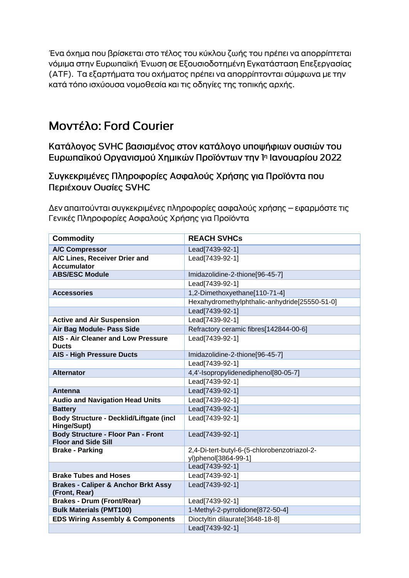Ένα όχημα που βρίσκεται στο τέλος του κύκλου ζωής του πρέπει να απορρίπτεται νόμιμα στην Ευρωπαϊκή Ένωση σε Εξουσιοδοτημένη Εγκατάσταση Επεξεργασίας (ΑΤΕ). Τα εξαρτήματα του οχήματος πρέπει να απορρίπτονται σύμφωνα με την κατά τόπο ισχύουσα νομοθεσία και τις οδηγίες της τοπικής αρχής.

# Μοντέλο: Ford Courier

Κατάλογος SVHC βασισμένος στον κατάλογο υποψήφιων ουσιών του Ευρωπαϊκού Οργανισμού Χημικών Προϊόντων την 1η Ιανουαρίου 2022

Συγκεκριμένες Πληροφορίες Ασφαλούς Χρήσης για Προϊόντα που Περιέχουν Ουσίες SVHC

Δεν απαιτούνται συγκεκριμένες πληροφορίες ασφαλούς χρήσης – εφαρμόστε τις Γενικές Πληροφορίες Ασφαλούς Χρήσης για Προϊόντα

| <b>Commodity</b>                                                        | <b>REACH SVHCs</b>                                                   |
|-------------------------------------------------------------------------|----------------------------------------------------------------------|
| <b>A/C Compressor</b>                                                   | Lead[7439-92-1]                                                      |
| A/C Lines, Receiver Drier and<br><b>Accumulator</b>                     | Lead[7439-92-1]                                                      |
| <b>ABS/ESC Module</b>                                                   | Imidazolidine-2-thione[96-45-7]                                      |
|                                                                         | Lead[7439-92-1]                                                      |
| <b>Accessories</b>                                                      | 1,2-Dimethoxyethane[110-71-4]                                        |
|                                                                         | Hexahydromethylphthalic-anhydride[25550-51-0]                        |
|                                                                         | Lead[7439-92-1]                                                      |
| <b>Active and Air Suspension</b>                                        | Lead[7439-92-1]                                                      |
| Air Bag Module- Pass Side                                               | Refractory ceramic fibres[142844-00-6]                               |
| <b>AIS - Air Cleaner and Low Pressure</b><br><b>Ducts</b>               | Lead[7439-92-1]                                                      |
| <b>AIS - High Pressure Ducts</b>                                        | Imidazolidine-2-thione[96-45-7]                                      |
|                                                                         | Lead[7439-92-1]                                                      |
| <b>Alternator</b>                                                       | 4,4'-Isopropylidenediphenol[80-05-7]                                 |
|                                                                         | Lead[7439-92-1]                                                      |
| Antenna                                                                 | Lead[7439-92-1]                                                      |
| <b>Audio and Navigation Head Units</b>                                  | Lead[7439-92-1]                                                      |
| <b>Battery</b>                                                          | Lead[7439-92-1]                                                      |
| <b>Body Structure - Decklid/Liftgate (incl</b><br>Hinge/Supt)           | Lead[7439-92-1]                                                      |
| <b>Body Structure - Floor Pan - Front</b><br><b>Floor and Side Sill</b> | Lead[7439-92-1]                                                      |
| <b>Brake - Parking</b>                                                  | 2,4-Di-tert-butyl-6-(5-chlorobenzotriazol-2-<br>yl)phenol[3864-99-1] |
|                                                                         | Lead[7439-92-1]                                                      |
| <b>Brake Tubes and Hoses</b>                                            | Lead[7439-92-1]                                                      |
| <b>Brakes - Caliper &amp; Anchor Brkt Assy</b><br>(Front, Rear)         | Lead[7439-92-1]                                                      |
| <b>Brakes - Drum (Front/Rear)</b>                                       | Lead[7439-92-1]                                                      |
| <b>Bulk Materials (PMT100)</b>                                          | 1-Methyl-2-pyrrolidone[872-50-4]                                     |
| <b>EDS Wiring Assembly &amp; Components</b>                             | Dioctyltin dilaurate[3648-18-8]                                      |
|                                                                         | Lead[7439-92-1]                                                      |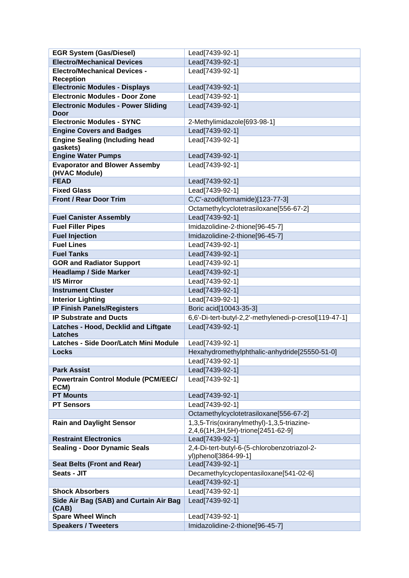| <b>EGR System (Gas/Diesel)</b>                                                | Lead[7439-92-1]                                                      |
|-------------------------------------------------------------------------------|----------------------------------------------------------------------|
| <b>Electro/Mechanical Devices</b>                                             | Lead[7439-92-1]                                                      |
| <b>Electro/Mechanical Devices -</b>                                           | Lead[7439-92-1]                                                      |
| <b>Reception</b>                                                              |                                                                      |
| <b>Electronic Modules - Displays</b><br><b>Electronic Modules - Door Zone</b> | Lead[7439-92-1]                                                      |
|                                                                               | Lead[7439-92-1]                                                      |
| <b>Electronic Modules - Power Sliding</b><br><b>Door</b>                      | Lead[7439-92-1]                                                      |
| <b>Electronic Modules - SYNC</b>                                              | 2-Methylimidazole[693-98-1]                                          |
| <b>Engine Covers and Badges</b>                                               | Lead[7439-92-1]                                                      |
| <b>Engine Sealing (Including head</b><br>gaskets)                             | Lead[7439-92-1]                                                      |
| <b>Engine Water Pumps</b>                                                     | Lead[7439-92-1]                                                      |
| <b>Evaporator and Blower Assemby</b>                                          | Lead[7439-92-1]                                                      |
| (HVAC Module)                                                                 |                                                                      |
| <b>FEAD</b>                                                                   | Lead[7439-92-1]                                                      |
| <b>Fixed Glass</b>                                                            | Lead[7439-92-1]                                                      |
| <b>Front / Rear Door Trim</b>                                                 | C,C'-azodi(formamide)[123-77-3]                                      |
|                                                                               | Octamethylcyclotetrasiloxane[556-67-2]                               |
| <b>Fuel Canister Assembly</b>                                                 | Lead[7439-92-1]                                                      |
| <b>Fuel Filler Pipes</b>                                                      | Imidazolidine-2-thione[96-45-7]                                      |
| <b>Fuel Injection</b>                                                         | Imidazolidine-2-thione[96-45-7]                                      |
| <b>Fuel Lines</b>                                                             | Lead[7439-92-1]                                                      |
| <b>Fuel Tanks</b>                                                             | Lead[7439-92-1]                                                      |
| <b>GOR and Radiator Support</b>                                               | Lead[7439-92-1]                                                      |
| <b>Headlamp / Side Marker</b>                                                 | Lead[7439-92-1]                                                      |
| <b>I/S Mirror</b>                                                             | Lead[7439-92-1]                                                      |
| <b>Instrument Cluster</b>                                                     | Lead[7439-92-1]                                                      |
| <b>Interior Lighting</b>                                                      | Lead[7439-92-1]                                                      |
| <b>IP Finish Panels/Registers</b>                                             | Boric acid[10043-35-3]                                               |
| <b>IP Substrate and Ducts</b>                                                 | 6,6'-Di-tert-butyl-2,2'-methylenedi-p-cresol[119-47-1]               |
| Latches - Hood, Decklid and Liftgate<br><b>Latches</b>                        | Lead[7439-92-1]                                                      |
| Latches - Side Door/Latch Mini Module                                         | Lead[7439-92-1]                                                      |
| <b>Locks</b>                                                                  | Hexahydromethylphthalic-anhydride[25550-51-0]                        |
|                                                                               | Lead[7439-92-1]                                                      |
| <b>Park Assist</b>                                                            | Lead[7439-92-1]                                                      |
| <b>Powertrain Control Module (PCM/EEC/</b><br>ECM)                            | Lead[7439-92-1]                                                      |
| <b>PT Mounts</b>                                                              | Lead[7439-92-1]                                                      |
| <b>PT Sensors</b>                                                             | Lead[7439-92-1]                                                      |
|                                                                               | Octamethylcyclotetrasiloxane[556-67-2]                               |
| <b>Rain and Daylight Sensor</b>                                               | 1,3,5-Tris(oxiranylmethyl)-1,3,5-triazine-                           |
|                                                                               | 2,4,6(1H,3H,5H)-trione[2451-62-9]                                    |
| <b>Restraint Electronics</b>                                                  | Lead[7439-92-1]                                                      |
| <b>Sealing - Door Dynamic Seals</b>                                           | 2,4-Di-tert-butyl-6-(5-chlorobenzotriazol-2-<br>yl)phenol[3864-99-1] |
| <b>Seat Belts (Front and Rear)</b>                                            | Lead[7439-92-1]                                                      |
| Seats - JIT                                                                   | Decamethylcyclopentasiloxane[541-02-6]                               |
|                                                                               | Lead[7439-92-1]                                                      |
| <b>Shock Absorbers</b>                                                        | Lead[7439-92-1]                                                      |
| Side Air Bag (SAB) and Curtain Air Bag<br>(CAB)                               | Lead[7439-92-1]                                                      |
| <b>Spare Wheel Winch</b>                                                      | Lead[7439-92-1]                                                      |
| <b>Speakers / Tweeters</b>                                                    | Imidazolidine-2-thione[96-45-7]                                      |